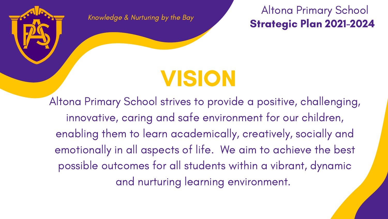#### Altona Primary School Strategic Plan 2021-2024

# VISION

Knowledge & Nurturing by the Bay

Altona Primary School strives to provide a positive, challenging, innovative, caring and safe environment for our children, enabling them to learn academically, creatively, socially and emotionally in all aspects of life. We aim to achieve the best possible outcomes for all students within a vibrant, dynamic and nurturing learning environment.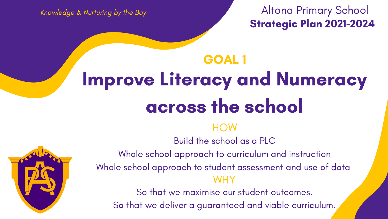### Altona Primary School Strategic Plan 2021-2024

- **HOW**
- Build the school as a PLC
- Whole school approach to curriculum and instruction
- Whole school approach to student assessment and use of data WHY
	- So that we maximise our student outcomes.
	- So that we deliver a guaranteed and viable curriculum.



### Improve Literacy and Numeracy across the school GOAL 1

Knowledge & Nurturing by the Bay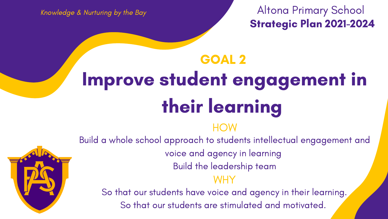### Altona Primary School Strategic Plan 2021-2024

## Improve student engagement in their learning GOAL 2

#### **HOW**

- Build a whole school approach to students intellectual engagement and
	- voice and agency in learning
		- Build the leadership team
			- WHY
	- So that our students have voice and agency in their learning.
		- So that our students are stimulated and motivated.



Knowledge & Nurturing by the Bay